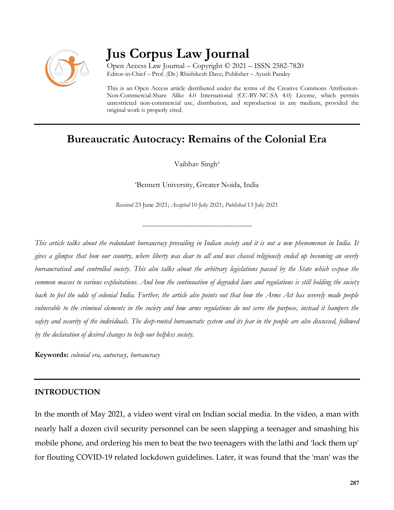

# **Jus Corpus Law Journal**

Open Access Law Journal – Copyright © 2021 – ISSN 2582-7820 Editor-in-Chief – Prof. (Dr.) Rhishikesh Dave; Publisher – Ayush Pandey

This is an Open Access article distributed under the terms of the Creative Commons Attribution-Non-Commercial-Share Alike 4.0 International (CC-BY-NC-SA 4.0) License, which permits unrestricted non-commercial use, distribution, and reproduction in any medium, provided the original work is properly cited.

## **Bureaucratic Autocracy: Remains of the Colonial Era**

Vaibhav Singh<sup>a</sup>

<sup>a</sup>Bennett University, Greater Noida, India

*Received* 23 June 2021; *Accepted* 10 July 2021; *Published* 13 July 2021

\_\_\_\_\_\_\_\_\_\_\_\_\_\_\_\_\_\_\_\_\_\_\_\_\_\_\_\_\_\_\_\_\_\_

*This article talks about the redundant bureaucracy prevailing in Indian society and it is not a new phenomenon in India. It gives a glimpse that how our country, where liberty was dear to all and was chased religiously ended up becoming an overly bureaucratised and controlled society. This also talks about the arbitrary legislations passed by the State which expose the common masses to various exploitations. And how the continuation of degraded laws and regulations is still holding the society*  back to feel the odds of colonial India. Further, the article also points out that how the Arms Act has severely made people *vulnerable to the criminal elements in the society and how arms regulations do not serve the purpose, instead it hampers the safety and security of the individuals. The deep-rooted bureaucratic system and its fear in the people are also discussed, followed by the declaration of desired changes to help our helpless society.*

**Keywords:** *colonial era, autocracy, bureaucracy*

#### **INTRODUCTION**

In the month of May 2021, a video went viral on Indian social media. In the video, a man with nearly half a dozen civil security personnel can be seen slapping a teenager and smashing his mobile phone, and ordering his men to beat the two teenagers with the lathi and 'lock them up' for flouting COVID-19 related lockdown guidelines. Later, it was found that the 'man' was the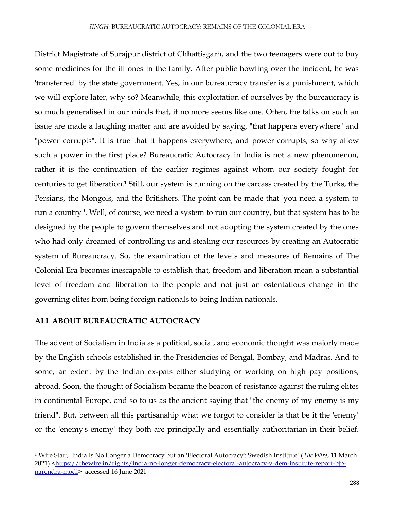District Magistrate of Surajpur district of Chhattisgarh, and the two teenagers were out to buy some medicines for the ill ones in the family. After public howling over the incident, he was 'transferred' by the state government. Yes, in our bureaucracy transfer is a punishment, which we will explore later, why so? Meanwhile, this exploitation of ourselves by the bureaucracy is so much generalised in our minds that, it no more seems like one. Often, the talks on such an issue are made a laughing matter and are avoided by saying, "that happens everywhere" and "power corrupts". It is true that it happens everywhere, and power corrupts, so why allow such a power in the first place? Bureaucratic Autocracy in India is not a new phenomenon, rather it is the continuation of the earlier regimes against whom our society fought for centuries to get liberation.<sup>1</sup> Still, our system is running on the carcass created by the Turks, the Persians, the Mongols, and the Britishers. The point can be made that 'you need a system to run a country '. Well, of course, we need a system to run our country, but that system has to be designed by the people to govern themselves and not adopting the system created by the ones who had only dreamed of controlling us and stealing our resources by creating an Autocratic system of Bureaucracy. So, the examination of the levels and measures of Remains of The Colonial Era becomes inescapable to establish that, freedom and liberation mean a substantial level of freedom and liberation to the people and not just an ostentatious change in the governing elites from being foreign nationals to being Indian nationals.

#### **ALL ABOUT BUREAUCRATIC AUTOCRACY**

 $\overline{\phantom{a}}$ 

The advent of Socialism in India as a political, social, and economic thought was majorly made by the English schools established in the Presidencies of Bengal, Bombay, and Madras. And to some, an extent by the Indian ex-pats either studying or working on high pay positions, abroad. Soon, the thought of Socialism became the beacon of resistance against the ruling elites in continental Europe, and so to us as the ancient saying that "the enemy of my enemy is my friend". But, between all this partisanship what we forgot to consider is that be it the 'enemy' or the 'enemy's enemy' they both are principally and essentially authoritarian in their belief.

<sup>1</sup> Wire Staff, 'India Is No Longer a Democracy but an 'Electoral Autocracy': Swedish Institute' (*The Wire*, 11 March 2021) [<https://thewire.in/rights/india-no-longer-democracy-electoral-autocracy-v-dem-institute-report-bjp](https://thewire.in/rights/india-no-longer-democracy-electoral-autocracy-v-dem-institute-report-bjp-narendra-modi)[narendra-modi>](https://thewire.in/rights/india-no-longer-democracy-electoral-autocracy-v-dem-institute-report-bjp-narendra-modi) accessed 16 June 2021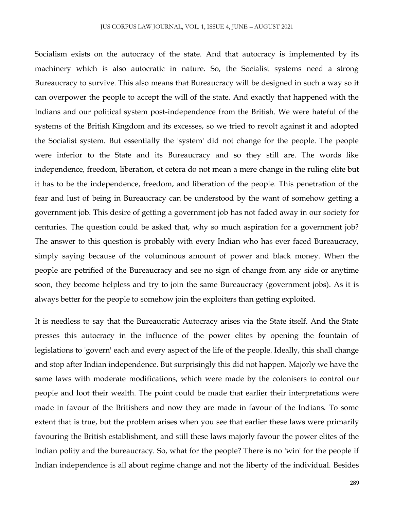Socialism exists on the autocracy of the state. And that autocracy is implemented by its machinery which is also autocratic in nature. So, the Socialist systems need a strong Bureaucracy to survive. This also means that Bureaucracy will be designed in such a way so it can overpower the people to accept the will of the state. And exactly that happened with the Indians and our political system post-independence from the British. We were hateful of the systems of the British Kingdom and its excesses, so we tried to revolt against it and adopted the Socialist system. But essentially the 'system' did not change for the people. The people were inferior to the State and its Bureaucracy and so they still are. The words like independence, freedom, liberation, et cetera do not mean a mere change in the ruling elite but it has to be the independence, freedom, and liberation of the people. This penetration of the fear and lust of being in Bureaucracy can be understood by the want of somehow getting a government job. This desire of getting a government job has not faded away in our society for centuries. The question could be asked that, why so much aspiration for a government job? The answer to this question is probably with every Indian who has ever faced Bureaucracy, simply saying because of the voluminous amount of power and black money. When the people are petrified of the Bureaucracy and see no sign of change from any side or anytime soon, they become helpless and try to join the same Bureaucracy (government jobs). As it is always better for the people to somehow join the exploiters than getting exploited.

It is needless to say that the Bureaucratic Autocracy arises via the State itself. And the State presses this autocracy in the influence of the power elites by opening the fountain of legislations to 'govern' each and every aspect of the life of the people. Ideally, this shall change and stop after Indian independence. But surprisingly this did not happen. Majorly we have the same laws with moderate modifications, which were made by the colonisers to control our people and loot their wealth. The point could be made that earlier their interpretations were made in favour of the Britishers and now they are made in favour of the Indians. To some extent that is true, but the problem arises when you see that earlier these laws were primarily favouring the British establishment, and still these laws majorly favour the power elites of the Indian polity and the bureaucracy. So, what for the people? There is no 'win' for the people if Indian independence is all about regime change and not the liberty of the individual. Besides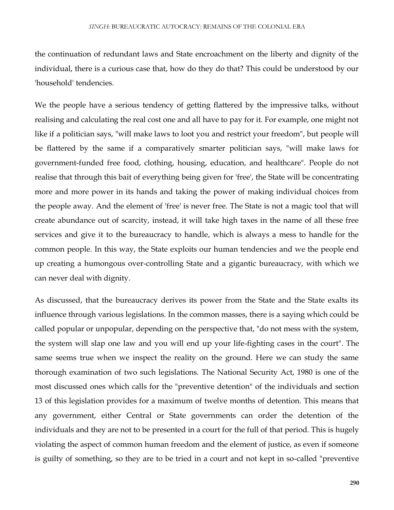the continuation of redundant laws and State encroachment on the liberty and dignity of the individual, there is a curious case that, how do they do that? This could be understood by our 'household' tendencies.

We the people have a serious tendency of getting flattered by the impressive talks, without realising and calculating the real cost one and all have to pay for it. For example, one might not like if a politician says, "will make laws to loot you and restrict your freedom", but people will be flattered by the same if a comparatively smarter politician says, "will make laws for government-funded free food, clothing, housing, education, and healthcare". People do not realise that through this bait of everything being given for 'free', the State will be concentrating more and more power in its hands and taking the power of making individual choices from the people away. And the element of 'free' is never free. The State is not a magic tool that will create abundance out of scarcity, instead, it will take high taxes in the name of all these free services and give it to the bureaucracy to handle, which is always a mess to handle for the common people. In this way, the State exploits our human tendencies and we the people end up creating a humongous over-controlling State and a gigantic bureaucracy, with which we can never deal with dignity.

As discussed, that the bureaucracy derives its power from the State and the State exalts its influence through various legislations. In the common masses, there is a saying which could be called popular or unpopular, depending on the perspective that, "do not mess with the system, the system will slap one law and you will end up your life-fighting cases in the court". The same seems true when we inspect the reality on the ground. Here we can study the same thorough examination of two such legislations. The National Security Act, 1980 is one of the most discussed ones which calls for the "preventive detention" of the individuals and section 13 of this legislation provides for a maximum of twelve months of detention. This means that any government, either Central or State governments can order the detention of the individuals and they are not to be presented in a court for the full of that period. This is hugely violating the aspect of common human freedom and the element of justice, as even if someone is guilty of something, so they are to be tried in a court and not kept in so-called "preventive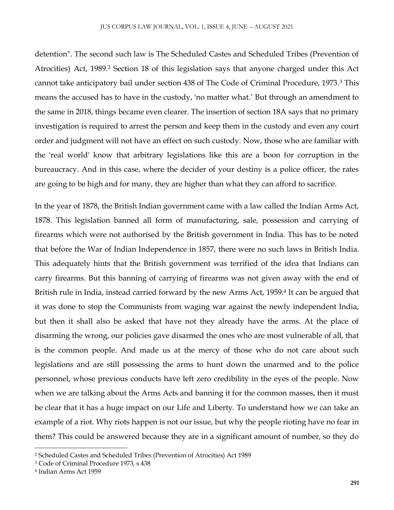detention". The second such law is The Scheduled Castes and Scheduled Tribes (Prevention of Atrocities) Act, 1989.<sup>2</sup> Section 18 of this legislation says that anyone charged under this Act cannot take anticipatory bail under section 438 of The Code of Criminal Procedure, 1973.<sup>3</sup> This means the accused has to have in the custody, 'no matter what.' But through an amendment to the same in 2018, things became even clearer. The insertion of section 18A says that no primary investigation is required to arrest the person and keep them in the custody and even any court order and judgment will not have an effect on such custody. Now, those who are familiar with the 'real world' know that arbitrary legislations like this are a boon for corruption in the bureaucracy. And in this case, where the decider of your destiny is a police officer, the rates are going to be high and for many, they are higher than what they can afford to sacrifice.

In the year of 1878, the British Indian government came with a law called the Indian Arms Act, 1878. This legislation banned all form of manufacturing, sale, possession and carrying of firearms which were not authorised by the British government in India. This has to be noted that before the War of Indian Independence in 1857, there were no such laws in British India. This adequately hints that the British government was terrified of the idea that Indians can carry firearms. But this banning of carrying of firearms was not given away with the end of British rule in India, instead carried forward by the new Arms Act, 1959.<sup>4</sup> It can be argued that it was done to stop the Communists from waging war against the newly independent India, but then it shall also be asked that have not they already have the arms. At the place of disarming the wrong, our policies gave disarmed the ones who are most vulnerable of all, that is the common people. And made us at the mercy of those who do not care about such legislations and are still possessing the arms to hunt down the unarmed and to the police personnel, whose previous conducts have left zero credibility in the eyes of the people. Now when we are talking about the Arms Acts and banning it for the common masses, then it must be clear that it has a huge impact on our Life and Liberty. To understand how we can take an example of a riot. Why riots happen is not our issue, but why the people rioting have no fear in them? This could be answered because they are in a significant amount of number, so they do

 $\overline{\phantom{a}}$ 

<sup>2</sup> Scheduled Castes and Scheduled Tribes (Prevention of Atrocities) Act 1989

<sup>3</sup> Code of Criminal Procedure 1973, s 438

<sup>4</sup> Indian Arms Act 1959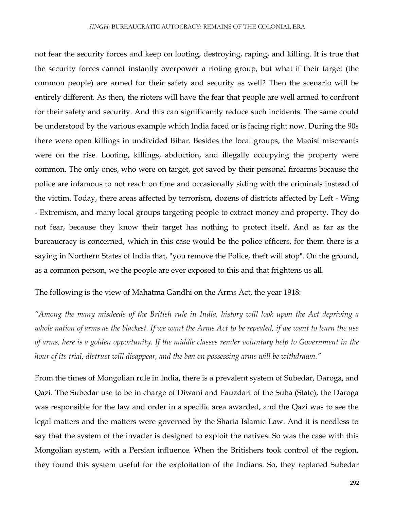not fear the security forces and keep on looting, destroying, raping, and killing. It is true that the security forces cannot instantly overpower a rioting group, but what if their target (the common people) are armed for their safety and security as well? Then the scenario will be entirely different. As then, the rioters will have the fear that people are well armed to confront for their safety and security. And this can significantly reduce such incidents. The same could be understood by the various example which India faced or is facing right now. During the 90s there were open killings in undivided Bihar. Besides the local groups, the Maoist miscreants were on the rise. Looting, killings, abduction, and illegally occupying the property were common. The only ones, who were on target, got saved by their personal firearms because the police are infamous to not reach on time and occasionally siding with the criminals instead of the victim. Today, there areas affected by terrorism, dozens of districts affected by Left - Wing - Extremism, and many local groups targeting people to extract money and property. They do not fear, because they know their target has nothing to protect itself. And as far as the bureaucracy is concerned, which in this case would be the police officers, for them there is a saying in Northern States of India that, "you remove the Police, theft will stop". On the ground, as a common person, we the people are ever exposed to this and that frightens us all.

The following is the view of Mahatma Gandhi on the Arms Act, the year 1918:

*"Among the many misdeeds of the British rule in India, history will look upon the Act depriving a whole nation of arms as the blackest. If we want the Arms Act to be repealed, if we want to learn the use of arms, here is a golden opportunity. If the middle classes render voluntary help to Government in the hour of its trial, distrust will disappear, and the ban on possessing arms will be withdrawn."* 

From the times of Mongolian rule in India, there is a prevalent system of Subedar, Daroga, and Qazi. The Subedar use to be in charge of Diwani and Fauzdari of the Suba (State), the Daroga was responsible for the law and order in a specific area awarded, and the Qazi was to see the legal matters and the matters were governed by the Sharia Islamic Law. And it is needless to say that the system of the invader is designed to exploit the natives. So was the case with this Mongolian system, with a Persian influence. When the Britishers took control of the region, they found this system useful for the exploitation of the Indians. So, they replaced Subedar